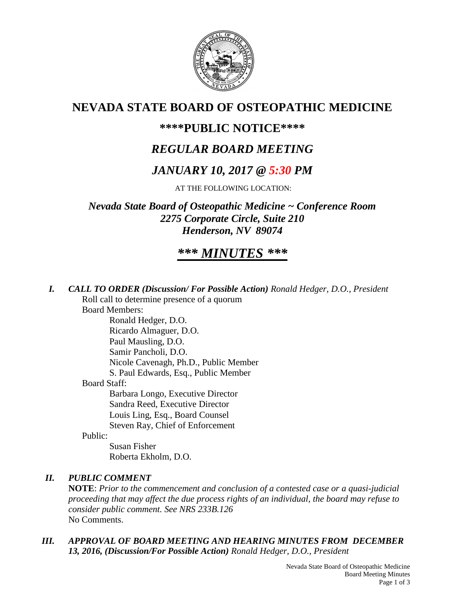

## **NEVADA STATE BOARD OF OSTEOPATHIC MEDICINE**

## **\*\*\*\*PUBLIC NOTICE\*\*\*\***

# *REGULAR BOARD MEETING*

## *JANUARY 10, 2017 @ 5:30 PM*

AT THE FOLLOWING LOCATION:

*Nevada State Board of Osteopathic Medicine ~ Conference Room 2275 Corporate Circle, Suite 210 Henderson, NV 89074*

# *\*\*\* MINUTES \*\*\**

*I. CALL TO ORDER (Discussion/ For Possible Action) Ronald Hedger, D.O., President*

Roll call to determine presence of a quorum Board Members:

Ronald Hedger, D.O. Ricardo Almaguer, D.O. Paul Mausling, D.O. Samir Pancholi, D.O. Nicole Cavenagh, Ph.D., Public Member S. Paul Edwards, Esq., Public Member Board Staff: Barbara Longo, Executive Director Sandra Reed, Executive Director Louis Ling, Esq., Board Counsel Steven Ray, Chief of Enforcement

Public:

Susan Fisher Roberta Ekholm, D.O.

## *II. PUBLIC COMMENT*

**NOTE**: *Prior to the commencement and conclusion of a contested case or a quasi-judicial proceeding that may affect the due process rights of an individual, the board may refuse to consider public comment. See NRS 233B.126* No Comments.

*III. APPROVAL OF BOARD MEETING AND HEARING MINUTES FROM DECEMBER 13, 2016, (Discussion/For Possible Action) Ronald Hedger, D.O., President*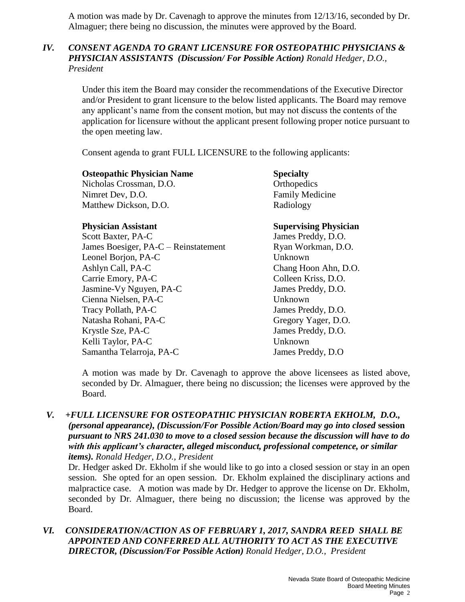A motion was made by Dr. Cavenagh to approve the minutes from 12/13/16, seconded by Dr. Almaguer; there being no discussion, the minutes were approved by the Board.

### *IV. CONSENT AGENDA TO GRANT LICENSURE FOR OSTEOPATHIC PHYSICIANS & PHYSICIAN ASSISTANTS (Discussion/ For Possible Action) Ronald Hedger, D.O., President*

Under this item the Board may consider the recommendations of the Executive Director and/or President to grant licensure to the below listed applicants. The Board may remove any applicant's name from the consent motion, but may not discuss the contents of the application for licensure without the applicant present following proper notice pursuant to the open meeting law.

Consent agenda to grant FULL LICENSURE to the following applicants:

| <b>Osteopathic Physician Name</b> | <b>Specialty</b>       |
|-----------------------------------|------------------------|
| Nicholas Crossman, D.O.           | Orthopedics            |
| Nimret Dev, D.O.                  | <b>Family Medicine</b> |
| Matthew Dickson, D.O.             | Radiology              |

Scott Baxter, PA-C<br>
James Preddy, D.O.<br>
James Boesiger, PA-C – Reinstatement Ryan Workman. D.O. James Boesiger, PA-C – Reinstatement Leonel Borjon, PA-C Unknown Ashlyn Call, PA-C Chang Hoon Ahn, D.O. Carrie Emory, PA-C Colleen Kriss, D.O. Jasmine-Vy Nguyen, PA-C James Preddy, D.O. Cienna Nielsen, PA-C Unknown Tracy Pollath, PA-C James Preddy, D.O. Natasha Rohani, PA-C Gregory Yager, D.O. Krystle Sze, PA-C James Preddy, D.O. Kelli Taylor, PA-C Unknown Samantha Telarroja, PA-C James Preddy, D.O

### **Physician Assistant Supervising Physician**

A motion was made by Dr. Cavenagh to approve the above licensees as listed above, seconded by Dr. Almaguer, there being no discussion; the licenses were approved by the Board.

*V. +FULL LICENSURE FOR OSTEOPATHIC PHYSICIAN ROBERTA EKHOLM, D.O., (personal appearance), (Discussion/For Possible Action/Board may go into closed* **session** *pursuant to NRS 241.030 to move to a closed session because the discussion will have to do with this applicant's character, alleged misconduct, professional competence, or similar items). Ronald Hedger, D.O., President*

Dr. Hedger asked Dr. Ekholm if she would like to go into a closed session or stay in an open session. She opted for an open session. Dr. Ekholm explained the disciplinary actions and malpractice case. A motion was made by Dr. Hedger to approve the license on Dr. Ekholm, seconded by Dr. Almaguer, there being no discussion; the license was approved by the Board.

*VI. CONSIDERATION/ACTION AS OF FEBRUARY 1, 2017, SANDRA REED SHALL BE APPOINTED AND CONFERRED ALL AUTHORITY TO ACT AS THE EXECUTIVE DIRECTOR, (Discussion/For Possible Action) Ronald Hedger, D.O., President*